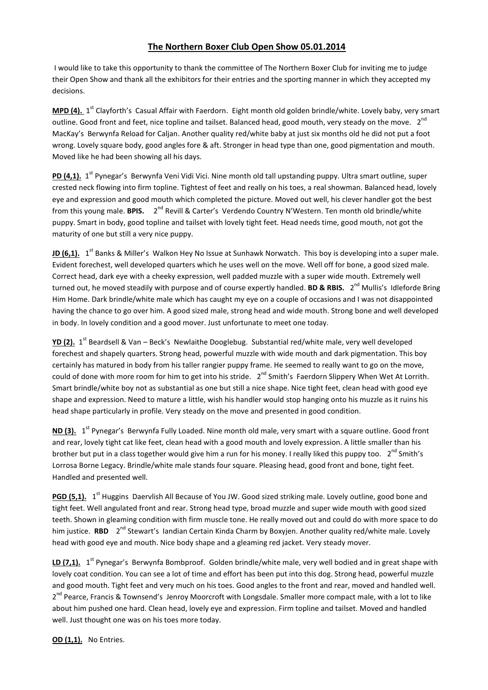## **The Northern Boxer Club Open Show 05.01.2014**

I would like to take this opportunity to thank the committee of The Northern Boxer Club for inviting me to judge their Open Show and thank all the exhibitors for their entries and the sporting manner in which they accepted my decisions.

**MPD (4).** 1<sup>st</sup> Clayforth's Casual Affair with Faerdorn. Eight month old golden brindle/white. Lovely baby, very smart outline. Good front and feet, nice topline and tailset. Balanced head, good mouth, very steady on the move.  $2^{nd}$ MacKay's Berwynfa Reload for Caljan. Another quality red/white baby at just six months old he did not put a foot wrong. Lovely square body, good angles fore & aft. Stronger in head type than one, good pigmentation and mouth. Moved like he had been showing all his days.

PD (4,1). 1<sup>st</sup> Pynegar's Berwynfa Veni Vidi Vici. Nine month old tall upstanding puppy. Ultra smart outline, super crested neck flowing into firm topline. Tightest of feet and really on his toes, a real showman. Balanced head, lovely eye and expression and good mouth which completed the picture. Moved out well, his clever handler got the best from this young male. BPIS. 2<sup>nd</sup> Revill & Carter's Verdendo Country N'Western. Ten month old brindle/white puppy. Smart in body, good topline and tailset with lovely tight feet. Head needs time, good mouth, not got the maturity of one but still a very nice puppy.

**JD (6,1).** 1<sup>st</sup> Banks & Miller's Walkon Hey No Issue at Sunhawk Norwatch. This boy is developing into a super male. Evident forechest, well developed quarters which he uses well on the move. Well off for bone, a good sized male. Correct head, dark eye with a cheeky expression, well padded muzzle with a super wide mouth. Extremely well turned out, he moved steadily with purpose and of course expertly handled. **BD & RBIS.** 2<sup>nd</sup> Mullis's Idleforde Bring Him Home. Dark brindle/white male which has caught my eye on a couple of occasions and I was not disappointed having the chance to go over him. A good sized male, strong head and wide mouth. Strong bone and well developed in body. In lovely condition and a good mover. Just unfortunate to meet one today.

**YD (2).** 1 st Beardsell & Van – Beck's Newlaithe Dooglebug. Substantial red/white male, very well developed forechest and shapely quarters. Strong head, powerful muzzle with wide mouth and dark pigmentation. This boy certainly has matured in body from his taller rangier puppy frame. He seemed to really want to go on the move, could of done with more room for him to get into his stride. 2<sup>nd</sup> Smith's Faerdorn Slippery When Wet At Lorrith. Smart brindle/white boy not as substantial as one but still a nice shape. Nice tight feet, clean head with good eye shape and expression. Need to mature a little, wish his handler would stop hanging onto his muzzle as it ruins his head shape particularly in profile. Very steady on the move and presented in good condition.

ND (3). 1<sup>st</sup> Pynegar's Berwynfa Fully Loaded. Nine month old male, very smart with a square outline. Good front and rear, lovely tight cat like feet, clean head with a good mouth and lovely expression. A little smaller than his brother but put in a class together would give him a run for his money. I really liked this puppy too.  $2^{nd}$  Smith's Lorrosa Borne Legacy. Brindle/white male stands four square. Pleasing head, good front and bone, tight feet. Handled and presented well.

PGD (5,1). 1<sup>st</sup> Huggins Daervlish All Because of You JW. Good sized striking male. Lovely outline, good bone and tight feet. Well angulated front and rear. Strong head type, broad muzzle and super wide mouth with good sized teeth. Shown in gleaming condition with firm muscle tone. He really moved out and could do with more space to do him justice. **RBD** 2<sup>nd</sup> Stewart's Iandian Certain Kinda Charm by Boxyjen. Another quality red/white male. Lovely head with good eye and mouth. Nice body shape and a gleaming red jacket. Very steady mover.

LD (7,1). 1<sup>st</sup> Pynegar's Berwynfa Bombproof. Golden brindle/white male, very well bodied and in great shape with lovely coat condition. You can see a lot of time and effort has been put into this dog. Strong head, powerful muzzle and good mouth. Tight feet and very much on his toes. Good angles to the front and rear, moved and handled well. 2<sup>nd</sup> Pearce, Francis & Townsend's Jenroy Moorcroft with Longsdale. Smaller more compact male, with a lot to like about him pushed one hard. Clean head, lovely eye and expression. Firm topline and tailset. Moved and handled well. Just thought one was on his toes more today.

**OD (1,1).** No Entries.